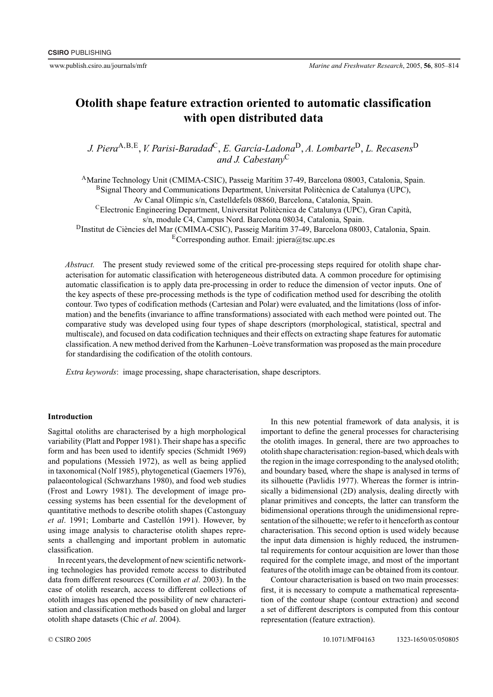# **Otolith shape feature extraction oriented to automatic classification with open distributed data**

*J. Piera*A*,*B*,*E, *V. Parisi-Baradad*C, *E. García-Ladona*D, *A. Lombarte*D, *L. Recasens*<sup>D</sup> *and J. Cabestany*<sup>C</sup>

AMarine Technology Unit (CMIMA-CSIC), Passeig Marítim 37-49, Barcelona 08003, Catalonia, Spain.

BSignal Theory and Communications Department, Universitat Politècnica de Catalunya (UPC),

Av Canal Olímpic s/n, Castelldefels 08860, Barcelona, Catalonia, Spain.

CElectronic Engineering Department, Universitat Politècnica de Catalunya (UPC), Gran Capità,

s/n, module C4, Campus Nord. Barcelona 08034, Catalonia, Spain.

DInstitut de Ciències del Mar (CMIMA-CSIC), Passeig Marítim 37-49, Barcelona 08003, Catalonia, Spain. ECorresponding author. Email: jpiera@tsc.upc.es

*Abstract.* The present study reviewed some of the critical pre-processing steps required for otolith shape characterisation for automatic classification with heterogeneous distributed data. A common procedure for optimising automatic classification is to apply data pre-processing in order to reduce the dimension of vector inputs. One of the key aspects of these pre-processing methods is the type of codification method used for describing the otolith contour. Two types of codification methods (Cartesian and Polar) were evaluated, and the limitations (loss of information) and the benefits (invariance to affine transformations) associated with each method were pointed out. The comparative study was developed using four types of shape descriptors (morphological, statistical, spectral and multiscale), and focused on data codification techniques and their effects on extracting shape features for automatic classification.A new method derived from the Karhunen–Loève transformation was proposed as the main procedure for standardising the codification of the otolith contours.

*Extra keywords*: image processing, shape characterisation, shape descriptors.

# **Introduction**

Sagittal otoliths are characterised by a high morphological variability (Platt and Popper 1981). Their shape has a specific form and has been used to identify species (Schmidt 1969) and populations (Messieh 1972), as well as being applied in taxonomical (Nolf 1985), phytogenetical (Gaemers 1976), palaeontological (Schwarzhans 1980), and food web studies (Frost and Lowry 1981). The development of image processing systems has been essential for the development of quantitative methods to describe otolith shapes (Castonguay *et al*. 1991; Lombarte and Castellón 1991). However, by using image analysis to characterise otolith shapes represents a challenging and important problem in automatic classification.

In recent years, the development of new scientific networking technologies has provided remote access to distributed data from different resources (Cornillon *et al*. 2003). In the case of otolith research, access to different collections of otolith images has opened the possibility of new characterisation and classification methods based on global and larger otolith shape datasets (Chic *et al*. 2004).

In this new potential framework of data analysis, it is important to define the general processes for characterising the otolith images. In general, there are two approaches to otolith shape characterisation: region-based, which deals with the region in the image corresponding to the analysed otolith; and boundary based, where the shape is analysed in terms of its silhouette (Pavlidis 1977). Whereas the former is intrinsically a bidimensional (2D) analysis, dealing directly with planar primitives and concepts, the latter can transform the bidimensional operations through the unidimensional representation of the silhouette; we refer to it henceforth as contour characterisation. This second option is used widely because the input data dimension is highly reduced, the instrumental requirements for contour acquisition are lower than those required for the complete image, and most of the important features of the otolith image can be obtained from its contour.

Contour characterisation is based on two main processes: first, it is necessary to compute a mathematical representation of the contour shape (contour extraction) and second a set of different descriptors is computed from this contour representation (feature extraction).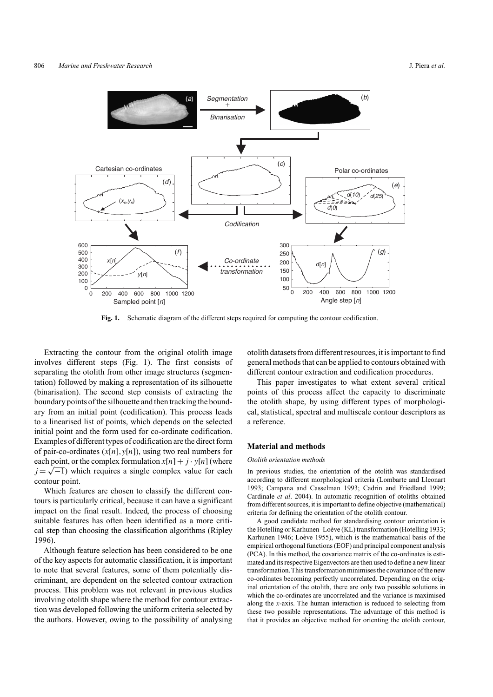

**Fig. 1.** Schematic diagram of the different steps required for computing the contour codification.

Extracting the contour from the original otolith image involves different steps (Fig. 1). The first consists of separating the otolith from other image structures (segmentation) followed by making a representation of its silhouette (binarisation). The second step consists of extracting the boundary points of the silhouette and then tracking the boundary from an initial point (codification). This process leads to a linearised list of points, which depends on the selected initial point and the form used for co-ordinate codification. Examples of different types of codification are the direct form of pair-co-ordinates (*x*[*n*]*,y*[*n*]), using two real numbers for each point, or the complex formulation  $x[n] + j \cdot y[n]$  (where  $j = \sqrt{-1}$ ) which requires a single complex value for each contour point.

Which features are chosen to classify the different contours is particularly critical, because it can have a significant impact on the final result. Indeed, the process of choosing suitable features has often been identified as a more critical step than choosing the classification algorithms (Ripley 1996).

Although feature selection has been considered to be one of the key aspects for automatic classification, it is important to note that several features, some of them potentially discriminant, are dependent on the selected contour extraction process. This problem was not relevant in previous studies involving otolith shape where the method for contour extraction was developed following the uniform criteria selected by the authors. However, owing to the possibility of analysing otolith datasets from different resources, it is important to find general methods that can be applied to contours obtained with different contour extraction and codification procedures.

This paper investigates to what extent several critical points of this process affect the capacity to discriminate the otolith shape, by using different types of morphological, statistical, spectral and multiscale contour descriptors as a reference.

## **Material and methods**

#### *Otolith orientation methods*

In previous studies, the orientation of the otolith was standardised according to different morphological criteria (Lombarte and Lleonart 1993; Campana and Casselman 1993; Cadrin and Friedland 1999; Cardinale *et al*. 2004). In automatic recognition of otoliths obtained from different sources, it is important to define objective (mathematical) criteria for defining the orientation of the otolith contour.

A good candidate method for standardising contour orientation is the Hotelling or Karhunen–Loève (KL) transformation (Hotelling 1933; Karhunen 1946; Loève 1955), which is the mathematical basis of the empirical orthogonal functions (EOF) and principal component analysis (PCA). In this method, the covariance matrix of the co-ordinates is estimated and its respective Eigenvectors are then used to define a new linear transformation.This transformation minimises the covariance of the new co-ordinates becoming perfectly uncorrelated. Depending on the original orientation of the otolith, there are only two possible solutions in which the co-ordinates are uncorrelated and the variance is maximised along the *x*-axis. The human interaction is reduced to selecting from these two possible representations. The advantage of this method is that it provides an objective method for orienting the otolith contour,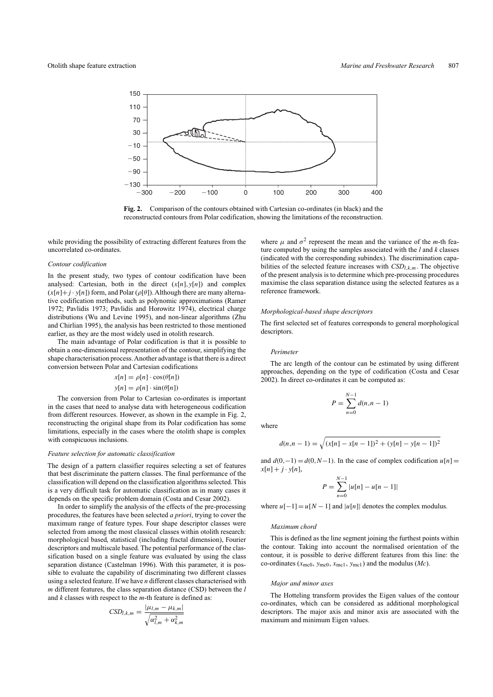

**Fig. 2.** Comparison of the contours obtained with Cartesian co-ordinates (in black) and the reconstructed contours from Polar codification, showing the limitations of the reconstruction.

while providing the possibility of extracting different features from the uncorrelated co-ordinates.

### *Contour codification*

In the present study, two types of contour codification have been analysed: Cartesian, both in the direct  $(x[n], y[n])$  and complex  $(x[n]+j \cdot y[n])$  form, and Polar ( $\rho[\theta]$ ). Although there are many alternative codification methods, such as polynomic approximations (Ramer 1972; Pavlidis 1973; Pavlidis and Horowitz 1974), electrical charge distributions (Wu and Levine 1995), and non-linear algorithms (Zhu and Chirlian 1995), the analysis has been restricted to those mentioned earlier, as they are the most widely used in otolith research.

The main advantage of Polar codification is that it is possible to obtain a one-dimensional representation of the contour, simplifying the shape characterisation process.Another advantage is that there is a direct conversion between Polar and Cartesian codifications

$$
x[n] = \rho[n] \cdot \cos(\theta[n])
$$

$$
y[n] = \rho[n] \cdot \sin(\theta[n])
$$

The conversion from Polar to Cartesian co-ordinates is important in the cases that need to analyse data with heterogeneous codification from different resources. However, as shown in the example in Fig. 2, reconstructing the original shape from its Polar codification has some limitations, especially in the cases where the otolith shape is complex with conspicuous inclusions.

#### *Feature selection for automatic classification*

The design of a pattern classifier requires selecting a set of features that best discriminate the pattern classes. The final performance of the classification will depend on the classification algorithms selected. This is a very difficult task for automatic classification as in many cases it depends on the specific problem domain (Costa and Cesar 2002).

In order to simplify the analysis of the effects of the pre-processing procedures, the features have been selected *a priori*, trying to cover the maximum range of feature types. Four shape descriptor classes were selected from among the most classical classes within otolith research: morphological based, statistical (including fractal dimension), Fourier descriptors and multiscale based. The potential performance of the classification based on a single feature was evaluated by using the class separation distance (Castelman 1996). With this parameter, it is possible to evaluate the capability of discriminating two different classes using a selected feature. If we have *n* different classes characterised with *m* different features, the class separation distance (CSD) between the *l* and *k* classes with respect to the *m*-th feature is defined as:

$$
CSD_{l,k,m} = \frac{|\mu_{l,m} - \mu_{k,m}|}{\sqrt{\alpha_{l,m}^2 + \alpha_{k,m}^2}}
$$

where  $\mu$  and  $\sigma^2$  represent the mean and the variance of the *m*-th feature computed by using the samples associated with the *l* and *k* classes (indicated with the corresponding subindex). The discrimination capabilities of the selected feature increases with *CSDl,k,m*. The objective of the present analysis is to determine which pre-processing procedures maximise the class separation distance using the selected features as a reference framework.

#### *Morphological-based shape descriptors*

The first selected set of features corresponds to general morphological descriptors.

#### *Perimeter*

The arc length of the contour can be estimated by using different approaches, depending on the type of codification (Costa and Cesar 2002). In direct co-ordinates it can be computed as:

$$
P = \sum_{n=0}^{N-1} d(n, n-1)
$$

where

$$
d(n, n - 1) = \sqrt{(x[n] - x[n - 1])^2 + (y[n] - y[n - 1])^2}
$$

and  $d(0,-1) = d(0,N-1)$ . In the case of complex codification  $u[n] =$  $x[n] + j \cdot y[n],$ 

$$
P = \sum_{n=0}^{N-1} |u[n] - u[n-1]|
$$

where  $u[-1] = u[N-1]$  and  $|u[n]|$  denotes the complex modulus.

## *Maximum chord*

This is defined as the line segment joining the furthest points within the contour. Taking into account the normalised orientation of the contour, it is possible to derive different features from this line: the co-ordinates  $(x_{\text{mc0}}, y_{\text{mc0}}, x_{\text{mc1}}, y_{\text{mc1}})$  and the modulus  $(Mc)$ .

#### *Major and minor axes*

The Hotteling transform provides the Eigen values of the contour co-ordinates, which can be considered as additional morphological descriptors. The major axis and minor axis are associated with the maximum and minimum Eigen values.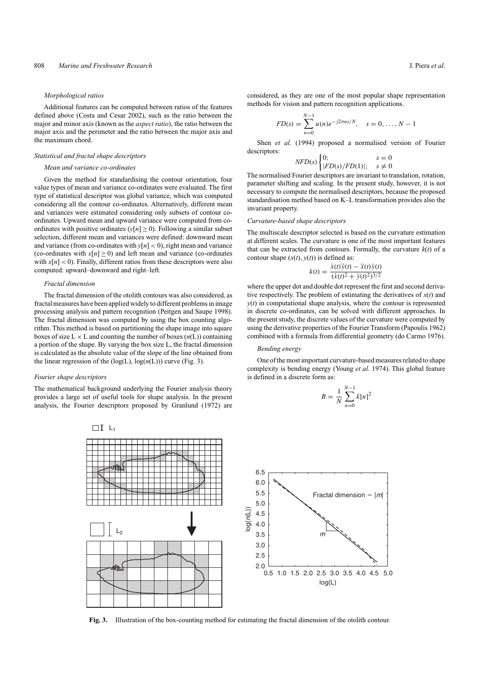#### *Morphological ratios*

Additional features can be computed between ratios of the features defined above (Costa and Cesar 2002), such as the ratio between the major and minor axis (known as the *aspect ratio*), the ratio between the major axis and the perimeter and the ratio between the major axis and the maximum chord.

## *Statistical and fractal shape descriptors*

## *Mean and variance co-ordinates*

Given the method for standardising the contour orientation, four value types of mean and variance co-ordinates were evaluated. The first type of statistical descriptor was global variance, which was computed considering all the contour co-ordinates. Alternatively, different mean and variances were estimated considering only subsets of contour coordinates. Upward mean and upward variance were computed from coordinates with positive ordinates  $(y[n] \ge 0)$ . Following a similar subset selection, different mean and variances were defined: downward mean and variance (from co-ordinates with  $y[n] < 0$ ), right mean and variance (co-ordinates with  $x[n] \ge 0$ ) and left mean and variance (co-ordinates with  $x[n] < 0$ ). Finally, different ratios from these descriptors were also computed: upward–downward and right–left.

#### *Fractal dimension*

The fractal dimension of the otolith contours was also considered, as fractal measures have been applied widely to different problems in image processing analysis and pattern recognition (Peitgen and Saupe 1998). The fractal dimension was computed by using the box counting algorithm. This method is based on partitioning the shape image into square boxes of size  $L \times L$  and counting the number of boxes  $(n(L))$  containing a portion of the shape. By varying the box size L, the fractal dimension is calculated as the absolute value of the slope of the line obtained from the linear regression of the (log(L), log(*n*(L))) curve (Fig. 3).

#### *Fourier shape descriptors*

The mathematical background underlying the Fourier analysis theory provides a large set of useful tools for shape analysis. In the present analysis, the Fourier descriptors proposed by Granlund (1972) are

 $\Box$ I L<sub>1</sub>

 $L_2$ 

considered, as they are one of the most popular shape representation methods for vision and pattern recognition applications.

$$
FD(s) = \sum_{n=0}^{N-1} u(n) e^{-j2\pi n s/N}, \quad s = 0, \dots, N-1
$$

Shen *et al*. (1994) proposed a normalised version of Fourier descriptors:

$$
NFD(s)\begin{cases}0; & s=0\\ |FD(s)/FD(1)|; & s \neq 0 \end{cases}
$$

The normalised Fourier descriptors are invariant to translation, rotation, parameter shifting and scaling. In the present study, however, it is not necessary to compute the normalised descriptors, because the proposed standardisation method based on K–L transformation provides also the invariant property.

### *Curvature-based shape descriptors*

The multiscale descriptor selected is based on the curvature estimation at different scales. The curvature is one of the most important features that can be extracted from contours. Formally, the curvature  $k(t)$  of a contour shape  $(x(t), y(t))$  is defined as:

$$
k(t) = \frac{\dot{x}(t)\ddot{y}(t) - \ddot{x}(t)\dot{y}(t)}{(\dot{x}(t)^2 + \dot{y}(t)^2)^{3/2}}
$$

where the upper dot and double dot represent the first and second derivative respectively. The problem of estimating the derivatives of  $x(t)$  and  $y(t)$  in computational shape analysis, where the contour is represented in discrete co-ordinates, can be solved with different approaches. In the present study, the discrete values of the curvature were computed by using the derivative properties of the Fourier Transform (Papoulis 1962) combined with a formula from differential geometry (do Carmo 1976).

#### *Bending energy*

One of the most important curvature-based measures related to shape complexity is bending energy (Young *et al*. 1974). This global feature is defined in a discrete form as:

$$
B = \frac{1}{N} \sum_{n=0}^{N-1} k[n]^2
$$



**Fig. 3.** Illustration of the box-counting method for estimating the fractal dimension of the otolith contour.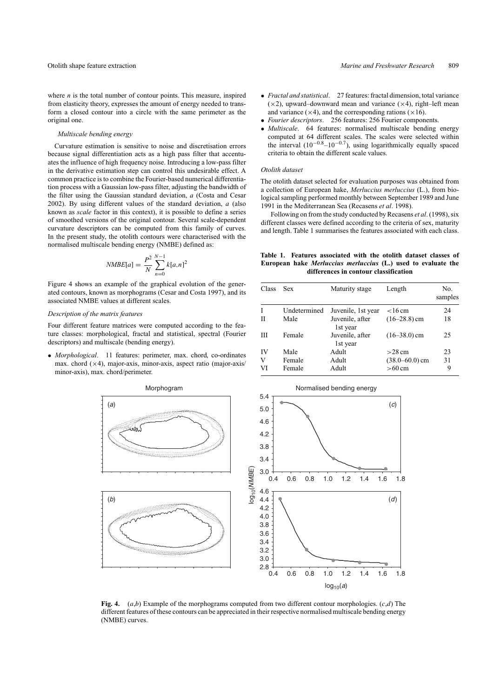where  $n$  is the total number of contour points. This measure, inspired from elasticity theory, expresses the amount of energy needed to transform a closed contour into a circle with the same perimeter as the original one.

#### *Multiscale bending energy*

Curvature estimation is sensitive to noise and discretisation errors because signal differentiation acts as a high pass filter that accentuates the influence of high frequency noise. Introducing a low-pass filter in the derivative estimation step can control this undesirable effect. A common practice is to combine the Fourier-based numerical differentiation process with a Gaussian low-pass filter, adjusting the bandwidth of the filter using the Gaussian standard deviation, *a* (Costa and Cesar 2002). By using different values of the standard deviation, *a* (also known as *scale* factor in this context), it is possible to define a series of smoothed versions of the original contour. Several scale-dependent curvature descriptors can be computed from this family of curves. In the present study, the otolith contours were characterised with the normalised multiscale bending energy (NMBE) defined as:

$$
NMBE[a] = \frac{P^2}{N} \sum_{n=0}^{N-1} k[a,n]^2
$$

Figure 4 shows an example of the graphical evolution of the generated contours, known as morphograms (Cesar and Costa 1997), and its associated NMBE values at different scales.

### *Description of the matrix features*

Four different feature matrices were computed according to the feature classes: morphological, fractal and statistical, spectral (Fourier descriptors) and multiscale (bending energy).

• *Morphological*. 11 features: perimeter, max. chord, co-ordinates max. chord  $(\times 4)$ , major-axis, minor-axis, aspect ratio (major-axis/ minor-axis), max. chord/perimeter.

- *Fractal and statistical*. 27 features: fractal dimension, total variance  $(x2)$ , upward–downward mean and variance  $(x4)$ , right–left mean and variance  $(\times 4)$ , and the corresponding rations  $(\times 16)$ .
- *Fourier descriptors*. 256 features: 256 Fourier components.
- *Multiscale*. 64 features: normalised multiscale bending energy computed at 64 different scales. The scales were selected within the interval  $(10^{-0.8} - 10^{-0.7})$ , using logarithmically equally spaced criteria to obtain the different scale values.

#### *Otolith dataset*

The otolith dataset selected for evaluation purposes was obtained from a collection of European hake, *Merluccius merluccius* (L.), from biological sampling performed monthly between September 1989 and June 1991 in the Mediterranean Sea (Recasens *et al*. 1998).

Following on from the study conducted by Recasens *et al*. (1998), six different classes were defined according to the criteria of sex, maturity and length. Table 1 summarises the features associated with each class.

**Table 1. Features associated with the otolith dataset classes of European hake** *Merluccius merluccius* **(L.) used to evaluate the differences in contour classification**

| Class | <b>Sex</b>   | Maturity stage              | Length             | No.<br>samples |
|-------|--------------|-----------------------------|--------------------|----------------|
|       | Undetermined | Juvenile, 1st year          | $<$ 16 cm          | 24             |
| Н     | Male         | Juvenile, after<br>1st year | $(16-28.8)$ cm     | 18             |
| Ш     | Female       | Juvenile, after<br>1st year | $(16-38.0)$ cm     | 25             |
| IV    | Male         | Adult                       | $>28$ cm           | 23             |
| V     | Female       | Adult                       | $(38.0 - 60.0)$ cm | 31             |
| VI    | Female       | Adult                       | $>60 \text{ cm}$   | 9              |



**Fig. 4.** (*a*,*b*) Example of the morphograms computed from two different contour morphologies. (*c*,*d*) The different features of these contours can be appreciated in their respective normalised multiscale bending energy (NMBE) curves.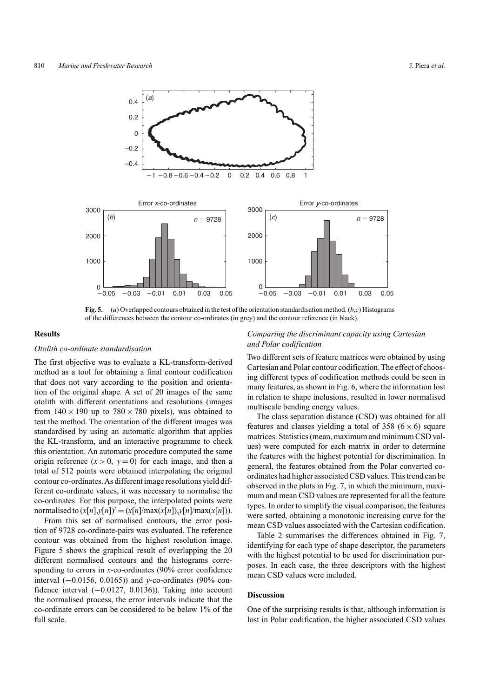

**Fig. 5.** (*a*) Overlapped contours obtained in the test of the orientation standardisation method. (*b*,*c*) Histograms of the differences between the contour co-ordinates (in grey) and the contour reference (in black).

#### **Results**

## *Otolith co-ordinate standardisation*

The first objective was to evaluate a KL-transform-derived method as a tool for obtaining a final contour codification that does not vary according to the position and orientation of the original shape. A set of 20 images of the same otolith with different orientations and resolutions (images from  $140 \times 190$  up to  $780 \times 780$  pixels), was obtained to test the method. The orientation of the different images was standardised by using an automatic algorithm that applies the KL-transform, and an interactive programme to check this orientation. An automatic procedure computed the same origin reference  $(x > 0, y = 0)$  for each image, and then a total of 512 points were obtained interpolating the original contour co-ordinates.As different image resolutions yield different co-ordinate values, it was necessary to normalise the co-ordinates. For this purpose, the interpolated points were normalised to  $(x[n], y[n])' = (x[n]/\max(x[n]), y[n]/\max(x[n]))$ .

From this set of normalised contours, the error position of 9728 co-ordinate-pairs was evaluated. The reference contour was obtained from the highest resolution image. Figure 5 shows the graphical result of overlapping the 20 different normalised contours and the histograms corresponding to errors in *x*-co-ordinates (90% error confidence interval (−0.0156, 0.0165)) and *y*-co-ordinates (90% confidence interval  $(-0.0127, 0.0136)$ ). Taking into account the normalised process, the error intervals indicate that the co-ordinate errors can be considered to be below 1% of the full scale.

# *Comparing the discriminant capacity using Cartesian and Polar codification*

Two different sets of feature matrices were obtained by using Cartesian and Polar contour codification.The effect of choosing different types of codification methods could be seen in many features, as shown in Fig. 6, where the information lost in relation to shape inclusions, resulted in lower normalised multiscale bending energy values.

The class separation distance (CSD) was obtained for all features and classes yielding a total of 358 ( $6 \times 6$ ) square matrices. Statistics (mean, maximum and minimum CSD values) were computed for each matrix in order to determine the features with the highest potential for discrimination. In general, the features obtained from the Polar converted coordinates had higher associated CSD values.This trend can be observed in the plots in Fig. 7, in which the minimum, maximum and mean CSD values are represented for all the feature types. In order to simplify the visual comparison, the features were sorted, obtaining a monotonic increasing curve for the mean CSD values associated with the Cartesian codification.

Table 2 summarises the differences obtained in Fig. 7, identifying for each type of shape descriptor, the parameters with the highest potential to be used for discrimination purposes. In each case, the three descriptors with the highest mean CSD values were included.

## **Discussion**

One of the surprising results is that, although information is lost in Polar codification, the higher associated CSD values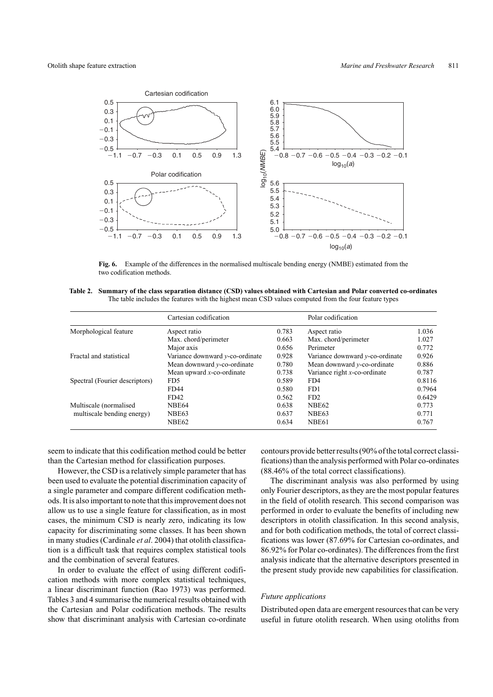

**Fig. 6.** Example of the differences in the normalised multiscale bending energy (NMBE) estimated from the two codification methods.

| Table 2. Summary of the class separation distance (CSD) values obtained with Cartesian and Polar converted co-ordinates |
|-------------------------------------------------------------------------------------------------------------------------|
| The table includes the features with the highest mean CSD values computed from the four feature types                   |

|                                | Cartesian codification             |       | Polar codification              |        |
|--------------------------------|------------------------------------|-------|---------------------------------|--------|
| Morphological feature          | Aspect ratio                       | 0.783 | Aspect ratio                    | 1.036  |
|                                | Max. chord/perimeter               | 0.663 | Max. chord/perimeter            | 1.027  |
|                                | Major axis                         | 0.656 | Perimeter                       | 0.772  |
| Fractal and statistical        | Variance downward $y$ -co-ordinate | 0.928 | Variance downward y-co-ordinate | 0.926  |
|                                | Mean downward $v$ -co-ordinate     | 0.780 | Mean downward $v$ -co-ordinate  | 0.886  |
|                                | Mean upward $x$ -co-ordinate       | 0.738 | Variance right $x$ -co-ordinate | 0.787  |
| Spectral (Fourier descriptors) | FD <sub>5</sub>                    | 0.589 | FD4                             | 0.8116 |
|                                | FD44                               | 0.580 | FD <sub>1</sub>                 | 0.7964 |
|                                | FD42                               | 0.562 | FD2                             | 0.6429 |
| Multiscale (normalised         | NBE64                              | 0.638 | <b>NBE62</b>                    | 0.773  |
| multiscale bending energy)     | NBE63                              | 0.637 | NBE63                           | 0.771  |
|                                | NBE62                              | 0.634 | <b>NBE61</b>                    | 0.767  |

seem to indicate that this codification method could be better than the Cartesian method for classification purposes.

However, the CSD is a relatively simple parameter that has been used to evaluate the potential discrimination capacity of a single parameter and compare different codification methods. It is also important to note that this improvement does not allow us to use a single feature for classification, as in most cases, the minimum CSD is nearly zero, indicating its low capacity for discriminating some classes. It has been shown in many studies (Cardinale *et al*. 2004) that otolith classification is a difficult task that requires complex statistical tools and the combination of several features.

In order to evaluate the effect of using different codification methods with more complex statistical techniques, a linear discriminant function (Rao 1973) was performed. Tables 3 and 4 summarise the numerical results obtained with the Cartesian and Polar codification methods. The results show that discriminant analysis with Cartesian co-ordinate contours provide better results (90% of the total correct classifications) than the analysis performed with Polar co-ordinates (88.46% of the total correct classifications).

The discriminant analysis was also performed by using only Fourier descriptors, as they are the most popular features in the field of otolith research. This second comparison was performed in order to evaluate the benefits of including new descriptors in otolith classification. In this second analysis, and for both codification methods, the total of correct classifications was lower (87.69% for Cartesian co-ordinates, and 86.92% for Polar co-ordinates). The differences from the first analysis indicate that the alternative descriptors presented in the present study provide new capabilities for classification.

## *Future applications*

Distributed open data are emergent resources that can be very useful in future otolith research. When using otoliths from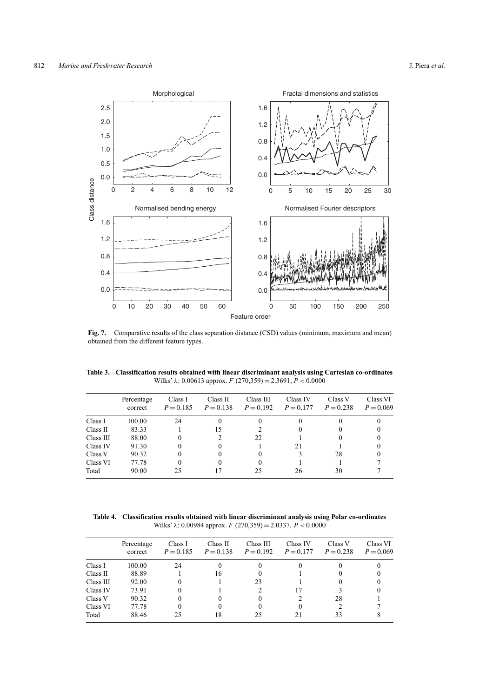

**Fig. 7.** Comparative results of the class separation distance (CSD) values (minimum, maximum and mean) obtained from the different feature types.

| Table 3. Classification results obtained with linear discriminant analysis using Cartesian co-ordinates |
|---------------------------------------------------------------------------------------------------------|
| Wilks' $\lambda$ : 0.00613 approx. $F(270,359) = 2.3691, P < 0.0000$                                    |

|           | Percentage<br>correct | Class I<br>$P = 0.185$ | Class II<br>$P = 0.138$ | Class III<br>$P = 0.192$ | Class IV<br>$P = 0.177$ | Class V<br>$P = 0.238$ | Class VI<br>$P = 0.069$ |
|-----------|-----------------------|------------------------|-------------------------|--------------------------|-------------------------|------------------------|-------------------------|
| Class I   | 100.00                | 24                     |                         | $_{0}$                   |                         |                        |                         |
| Class II  | 83.33                 |                        | 15                      |                          | 0                       |                        |                         |
| Class III | 88.00                 |                        |                         | 22                       |                         |                        |                         |
| Class IV  | 91.30                 |                        | 0                       |                          | 21                      |                        |                         |
| Class V   | 90.32                 |                        | $_{0}$                  | $\theta$                 |                         | 28                     |                         |
| Class VI  | 77.78                 |                        | 0                       | $_{0}$                   |                         |                        |                         |
| Total     | 90.00                 | 25                     | 17                      | 25                       | 26                      | 30                     |                         |
|           |                       |                        |                         |                          |                         |                        |                         |

**Table 4. Classification results obtained with linear discriminant analysis using Polar co-ordinates** Wilks' *λ*: 0.00984 approx. *F* (270,359) = 2.0337, *P <* 0*.*0000

|           | Percentage<br>correct | Class I<br>$P = 0.185$ | Class II<br>$P = 0.138$ | Class III<br>$P = 0.192$ | Class IV<br>$P = 0.177$ | Class V<br>$P = 0.238$ | Class VI<br>$P = 0.069$ |
|-----------|-----------------------|------------------------|-------------------------|--------------------------|-------------------------|------------------------|-------------------------|
| Class I   | 100.00                | 24                     |                         | $_{0}$                   | 0                       |                        |                         |
| Class II  | 88.89                 |                        | 16                      | $\theta$                 |                         |                        |                         |
| Class III | 92.00                 |                        |                         | 23                       |                         | 0                      |                         |
| Class IV  | 73.91                 |                        |                         |                          | 17                      |                        |                         |
| Class V   | 90.32                 |                        |                         | 0                        |                         | 28                     |                         |
| Class VI  | 77.78                 |                        |                         | 0                        | $\theta$                |                        |                         |
| Total     | 88.46                 | 25                     | 18                      | 25                       | 21                      | 33                     |                         |
|           |                       |                        |                         |                          |                         |                        |                         |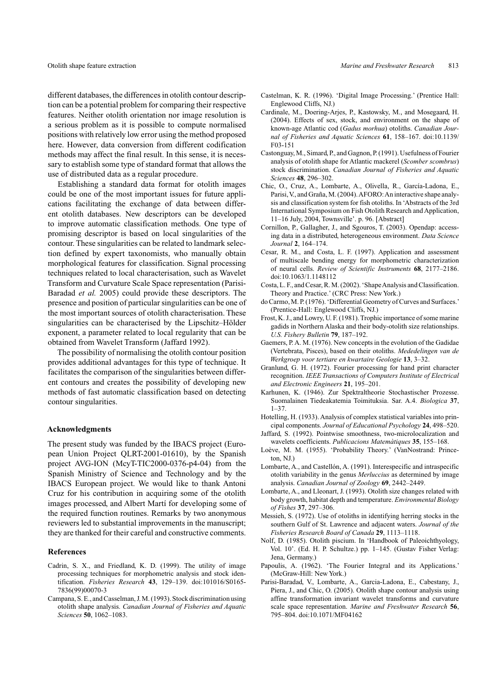different databases, the differences in otolith contour description can be a potential problem for comparing their respective features. Neither otolith orientation nor image resolution is a serious problem as it is possible to compute normalised positions with relatively low error using the method proposed here. However, data conversion from different codification methods may affect the final result. In this sense, it is necessary to establish some type of standard format that allows the use of distributed data as a regular procedure.

Establishing a standard data format for otolith images could be one of the most important issues for future applications facilitating the exchange of data between different otolith databases. New descriptors can be developed to improve automatic classification methods. One type of promising descriptor is based on local singularities of the contour. These singularities can be related to landmark selection defined by expert taxonomists, who manually obtain morphological features for classification. Signal processing techniques related to local characterisation, such as Wavelet Transform and Curvature Scale Space representation (Parisi-Baradad *et al.* 2005) could provide these descriptors. The presence and position of particular singularities can be one of the most important sources of otolith characterisation. These singularities can be characterised by the Lipschitz–Hölder exponent, a parameter related to local regularity that can be obtained from Wavelet Transform (Jaffard 1992).

The possibility of normalising the otolith contour position provides additional advantages for this type of technique. It facilitates the comparison of the singularities between different contours and creates the possibility of developing new methods of fast automatic classification based on detecting contour singularities.

#### **Acknowledgments**

The present study was funded by the IBACS project (European Union Project QLRT-2001-01610), by the Spanish project AVG-ION (McyT-TIC2000-0376-p4-04) from the Spanish Ministry of Science and Technology and by the IBACS European project. We would like to thank Antoni Cruz for his contribution in acquiring some of the otolith images processed, and Albert Martí for developing some of the required function routines. Remarks by two anonymous reviewers led to substantial improvements in the manuscript; they are thanked for their careful and constructive comments.

#### **References**

- Cadrin, S. X., and Friedland, K. D. (1999). The utility of image processing techniques for morphometric analysis and stock identification. *Fisheries Research* **43**, 129–139. doi:101016/S0165- 7836(99)00070-3
- Campana, S. E., and Casselman, J. M. (1993). Stock discrimination using otolith shape analysis. *Canadian Journal of Fisheries and Aquatic Sciences* **50**, 1062–1083.
- Castelman, K. R. (1996). 'Digital Image Processing.' (Prentice Hall: Englewood Cliffs, NJ.)
- Cardinale, M., Doering-Arjes, P., Kastowsky, M., and Mosegaard, H. (2004). Effects of sex, stock, and environment on the shape of known-age Atlantic cod (*Gadus morhua*) otoliths. *Canadian Journal of Fisheries and Aquatic Sciences* **61**, 158–167. doi:10.1139/ F03-151
- Castonguay, M., Simard, P., and Gagnon, P. (1991). Usefulness of Fourier analysis of otolith shape for Atlantic mackerel (*Scomber scombrus*) stock discrimination. *Canadian Journal of Fisheries and Aquatic Sciences* **48**, 296–302.
- Chic, O., Cruz, A., Lombarte, A., Olivella, R., García-Ladona, E., Parisi,V., and Graña, M. (2004).AFORO:An interactive shape analysis and classification system for fish otoliths. In 'Abstracts of the 3rd International Symposium on Fish Otolith Research and Application, 11–16 July, 2004, Townsville'. p. 96. [Abstract]
- Cornillon, P., Gallagher, J., and Sgouros, T. (2003). Opendap: accessing data in a distributed, heterogeneous environment. *Data Science Journal* **2**, 164–174.
- Cesar, R. M., and Costa, L. F. (1997). Application and assessment of multiscale bending energy for morphometric characterization of neural cells. *Review of Scientific Instruments* **68**, 2177–2186. doi:10.1063/1.1148112
- Costa, L. F., and Cesar, R. M. (2002). 'Shape Analysis and Classification. Theory and Practice.' (CRC Press: New York.)
- do Carmo, M. P. (1976). 'Differential Geometry of Curves and Surfaces.' (Prentice-Hall: Englewood Cliffs, NJ.)
- Frost, K. J., and Lowry, U. F. (1981).Trophic importance of some marine gadids in Northern Alaska and their body-otolith size relationships. *U.S. Fishery Bulletin* **79**, 187–192.
- Gaemers, P. A. M. (1976). New concepts in the evolution of the Gadidae (Vertebrata, Pisces), based on their otoliths. *Mededelingen van de Werkgroep voor tertiare en kwartaire Geologie* **13**, 3–32.
- Granlund, G. H. (1972). Fourier processing for hand print character recognition. *IEEE Transactions of Computers Institute of Electrical and Electronic Engineers* **21**, 195–201.
- Karhunen, K. (1946). Zur Spektraltheorie Stochastischer Prozesse. Suomalainen Tiedeakatemia Toimituksia. Sar. A.4. *Biologica* **37**, 1–37.
- Hotelling, H. (1933). Analysis of complex statistical variables into principal components. *Journal of Educational Psychology* **24**, 498–520.
- Jaffard, S. (1992). Pointwise smoothness, two-microlocalization and wavelets coefficients. *Publicacions Matemàtiques* **35**, 155–168.
- Loève, M. M. (1955). 'Probability Theory.' (VanNostrand: Princeton, NJ.)
- Lombarte, A., and Castellón, A. (1991). Interespecific and intraspecific otolith variability in the genus *Merluccius* as determined by image analysis. *Canadian Journal of Zoology* **69**, 2442–2449.
- Lombarte, A., and Lleonart, J. (1993). Otolith size changes related with body growth, habitat depth and temperature. *Environmental Biology of Fishes* **37**, 297–306.
- Messieh, S. (1972). Use of otoliths in identifying herring stocks in the southern Gulf of St. Lawrence and adjacent waters. *Journal of the Fisheries Research Board of Canada* **29**, 1113–1118.
- Nolf, D. (1985). Otolith piscium. In 'Handbook of Paleoichthyology, Vol. 10'. (Ed. H. P. Schultze.) pp. 1–145. (Gustav Fisher Verlag: Jena, Germany.)
- Papoulis, A. (1962). 'The Fourier Integral and its Applications.' (McGraw-Hill: New York.)
- Parisi-Baradad, V., Lombarte, A., Garcia-Ladona, E., Cabestany, J., Piera, J., and Chic, O. (2005). Otolith shape contour analysis using affine transformation invariant wavelet transforms and curvature scale space representation. *Marine and Freshwater Research* **56**, 795–804. doi:10.1071/MF04162